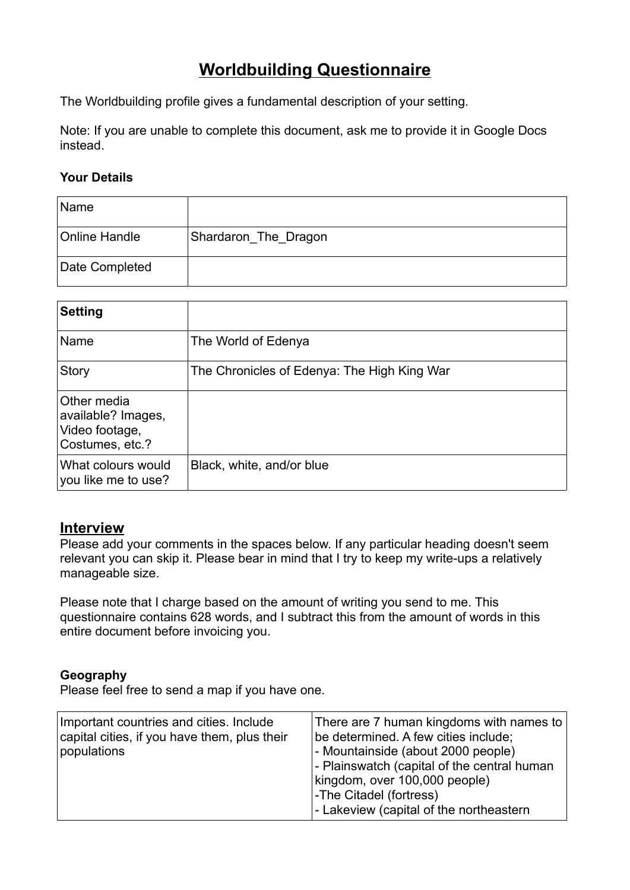# **Worldbuilding Questionnaire**

The Worldbuilding profile gives a fundamental description of your setting.

Note: If you are unable to complete this document, ask me to provide it in Google Docs instead.

### **Your Details**

| Name           |                      |
|----------------|----------------------|
| Online Handle  | Shardaron_The_Dragon |
| Date Completed |                      |

| <b>Setting</b>                                                         |                                             |
|------------------------------------------------------------------------|---------------------------------------------|
| Name                                                                   | The World of Edenya                         |
| <b>Story</b>                                                           | The Chronicles of Edenya: The High King War |
| Other media<br>available? Images,<br>Video footage,<br>Costumes, etc.? |                                             |
| What colours would<br>you like me to use?                              | Black, white, and/or blue                   |

### **Interview**

Please add your comments in the spaces below. If any particular heading doesn't seem relevant you can skip it. Please bear in mind that I try to keep my write-ups a relatively manageable size.

Please note that I charge based on the amount of writing you send to me. This questionnaire contains 628 words, and I subtract this from the amount of words in this entire document before invoicing you.

### **Geography**

Please feel free to send a map if you have one.

| Important countries and cities. Include<br>capital cities, if you have them, plus their<br>populations | There are 7 human kingdoms with names to<br>be determined. A few cities include;<br>- Mountainside (about 2000 people)<br>- Plainswatch (capital of the central human<br>kingdom, over 100,000 people)<br>-The Citadel (fortress) |
|--------------------------------------------------------------------------------------------------------|-----------------------------------------------------------------------------------------------------------------------------------------------------------------------------------------------------------------------------------|
|                                                                                                        | - Lakeview (capital of the northeastern                                                                                                                                                                                           |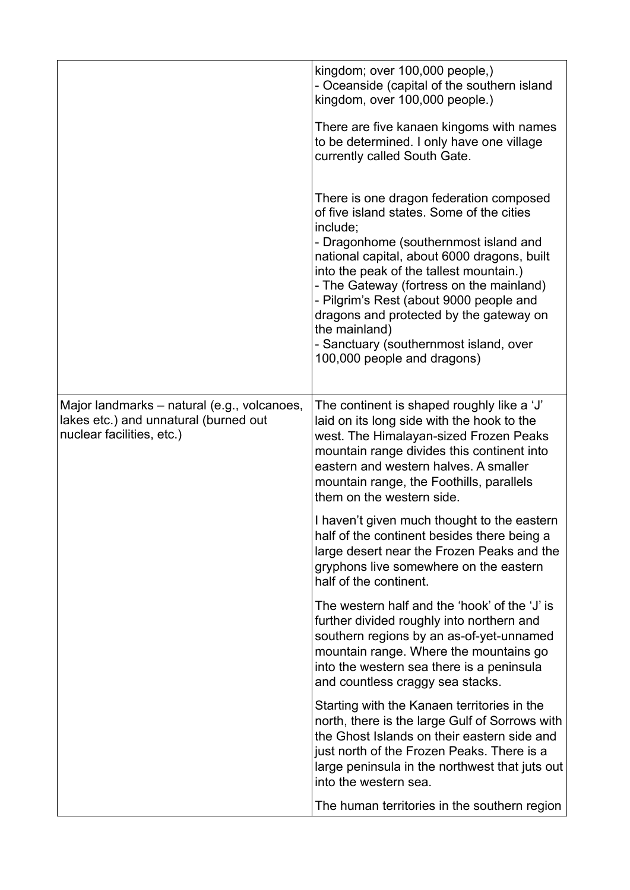|                                                                                                                   | kingdom; over 100,000 people,)<br>- Oceanside (capital of the southern island<br>kingdom, over 100,000 people.)<br>There are five kanaen kingoms with names<br>to be determined. I only have one village<br>currently called South Gate.<br>There is one dragon federation composed<br>of five island states. Some of the cities<br>include;<br>- Dragonhome (southernmost island and<br>national capital, about 6000 dragons, built<br>into the peak of the tallest mountain.)<br>- The Gateway (fortress on the mainland)<br>- Pilgrim's Rest (about 9000 people and<br>dragons and protected by the gateway on<br>the mainland)<br>- Sanctuary (southernmost island, over<br>100,000 people and dragons) |
|-------------------------------------------------------------------------------------------------------------------|-------------------------------------------------------------------------------------------------------------------------------------------------------------------------------------------------------------------------------------------------------------------------------------------------------------------------------------------------------------------------------------------------------------------------------------------------------------------------------------------------------------------------------------------------------------------------------------------------------------------------------------------------------------------------------------------------------------|
| Major landmarks - natural (e.g., volcanoes,<br>lakes etc.) and unnatural (burned out<br>nuclear facilities, etc.) | The continent is shaped roughly like a 'J'<br>laid on its long side with the hook to the<br>west. The Himalayan-sized Frozen Peaks<br>mountain range divides this continent into<br>eastern and western halves. A smaller<br>mountain range, the Foothills, parallels<br>them on the western side.<br>I haven't given much thought to the eastern<br>half of the continent besides there being a<br>large desert near the Frozen Peaks and the<br>gryphons live somewhere on the eastern<br>half of the continent.                                                                                                                                                                                          |
|                                                                                                                   | The western half and the 'hook' of the 'J' is<br>further divided roughly into northern and<br>southern regions by an as-of-yet-unnamed<br>mountain range. Where the mountains go<br>into the western sea there is a peninsula<br>and countless craggy sea stacks.                                                                                                                                                                                                                                                                                                                                                                                                                                           |
|                                                                                                                   | Starting with the Kanaen territories in the<br>north, there is the large Gulf of Sorrows with<br>the Ghost Islands on their eastern side and<br>just north of the Frozen Peaks. There is a<br>large peninsula in the northwest that juts out<br>into the western sea.                                                                                                                                                                                                                                                                                                                                                                                                                                       |
|                                                                                                                   | The human territories in the southern region                                                                                                                                                                                                                                                                                                                                                                                                                                                                                                                                                                                                                                                                |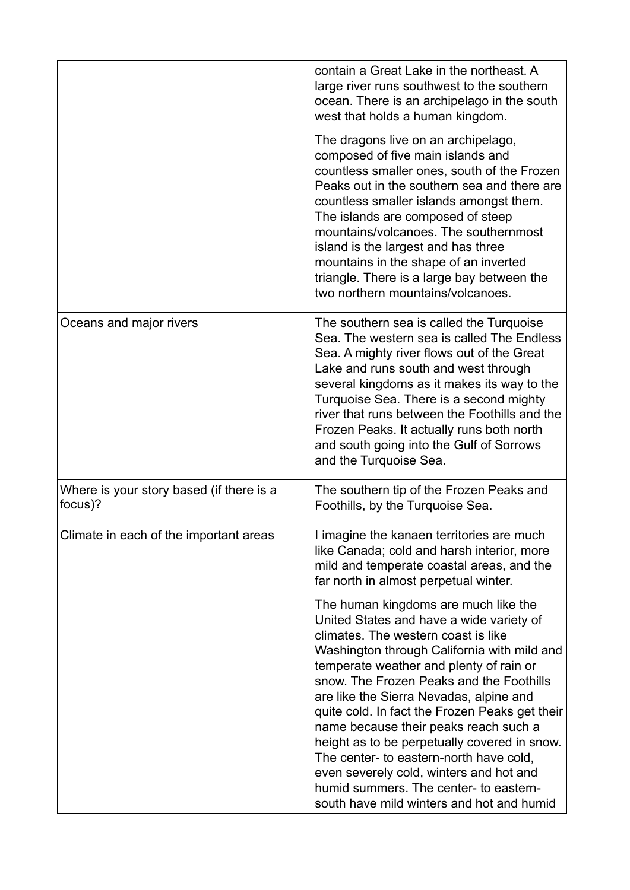|                                                     | contain a Great Lake in the northeast. A<br>large river runs southwest to the southern<br>ocean. There is an archipelago in the south<br>west that holds a human kingdom.<br>The dragons live on an archipelago,<br>composed of five main islands and<br>countless smaller ones, south of the Frozen<br>Peaks out in the southern sea and there are<br>countless smaller islands amongst them.                                                                                                                                                                                                                                   |
|-----------------------------------------------------|----------------------------------------------------------------------------------------------------------------------------------------------------------------------------------------------------------------------------------------------------------------------------------------------------------------------------------------------------------------------------------------------------------------------------------------------------------------------------------------------------------------------------------------------------------------------------------------------------------------------------------|
|                                                     | The islands are composed of steep<br>mountains/volcanoes. The southernmost<br>island is the largest and has three<br>mountains in the shape of an inverted<br>triangle. There is a large bay between the<br>two northern mountains/volcanoes.                                                                                                                                                                                                                                                                                                                                                                                    |
| Oceans and major rivers                             | The southern sea is called the Turquoise<br>Sea. The western sea is called The Endless<br>Sea. A mighty river flows out of the Great<br>Lake and runs south and west through<br>several kingdoms as it makes its way to the<br>Turquoise Sea. There is a second mighty<br>river that runs between the Foothills and the<br>Frozen Peaks. It actually runs both north<br>and south going into the Gulf of Sorrows<br>and the Turquoise Sea.                                                                                                                                                                                       |
| Where is your story based (if there is a<br>focus)? | The southern tip of the Frozen Peaks and<br>Foothills, by the Turquoise Sea.                                                                                                                                                                                                                                                                                                                                                                                                                                                                                                                                                     |
| Climate in each of the important areas              | I imagine the kanaen territories are much<br>like Canada; cold and harsh interior, more<br>mild and temperate coastal areas, and the<br>far north in almost perpetual winter.                                                                                                                                                                                                                                                                                                                                                                                                                                                    |
|                                                     | The human kingdoms are much like the<br>United States and have a wide variety of<br>climates. The western coast is like<br>Washington through California with mild and<br>temperate weather and plenty of rain or<br>snow. The Frozen Peaks and the Foothills<br>are like the Sierra Nevadas, alpine and<br>quite cold. In fact the Frozen Peaks get their<br>name because their peaks reach such a<br>height as to be perpetually covered in snow.<br>The center- to eastern-north have cold,<br>even severely cold, winters and hot and<br>humid summers. The center- to eastern-<br>south have mild winters and hot and humid |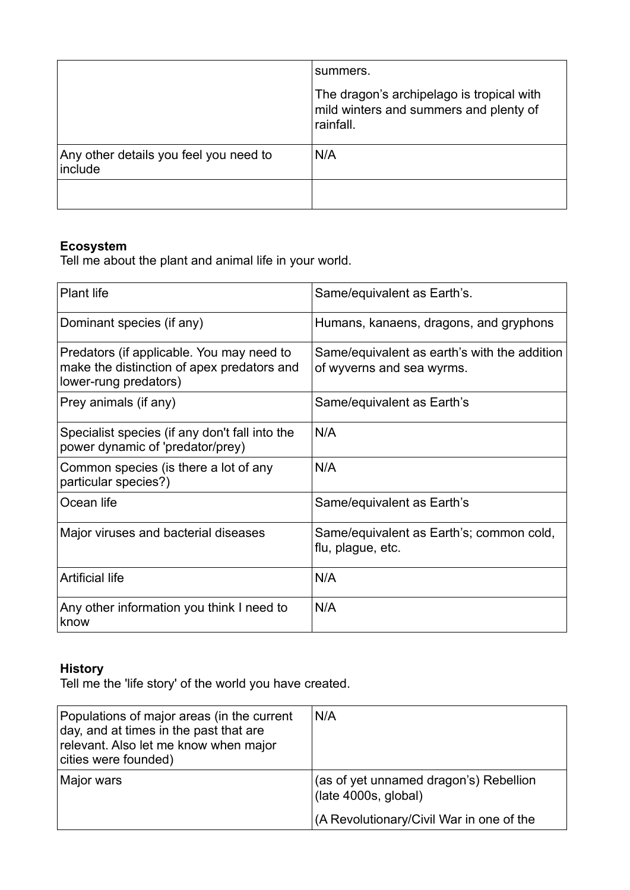|                                                   | summers.                                                                                         |
|---------------------------------------------------|--------------------------------------------------------------------------------------------------|
|                                                   | The dragon's archipelago is tropical with<br>mild winters and summers and plenty of<br>rainfall. |
| Any other details you feel you need to<br>include | N/A                                                                                              |
|                                                   |                                                                                                  |

## **Ecosystem**

Tell me about the plant and animal life in your world.

| <b>Plant life</b>                                                                                                | Same/equivalent as Earth's.                                               |
|------------------------------------------------------------------------------------------------------------------|---------------------------------------------------------------------------|
| Dominant species (if any)                                                                                        | Humans, kanaens, dragons, and gryphons                                    |
| Predators (if applicable. You may need to<br>make the distinction of apex predators and<br>lower-rung predators) | Same/equivalent as earth's with the addition<br>of wyverns and sea wyrms. |
| Prey animals (if any)                                                                                            | Same/equivalent as Earth's                                                |
| Specialist species (if any don't fall into the<br>power dynamic of 'predator/prey)                               | N/A                                                                       |
| Common species (is there a lot of any<br>particular species?)                                                    | N/A                                                                       |
| Ocean life                                                                                                       | Same/equivalent as Earth's                                                |
| Major viruses and bacterial diseases                                                                             | Same/equivalent as Earth's; common cold,<br>flu, plague, etc.             |
| <b>Artificial life</b>                                                                                           | N/A                                                                       |
| Any other information you think I need to<br>know                                                                | N/A                                                                       |

### **History**

Tell me the 'life story' of the world you have created.

| Populations of major areas (in the current<br>$ $ day, and at times in the past that are<br>relevant. Also let me know when major<br>cities were founded) | N/A                                                            |
|-----------------------------------------------------------------------------------------------------------------------------------------------------------|----------------------------------------------------------------|
| Major wars                                                                                                                                                | (as of yet unnamed dragon's) Rebellion<br>(late 4000s, global) |
|                                                                                                                                                           | (A Revolutionary/Civil War in one of the                       |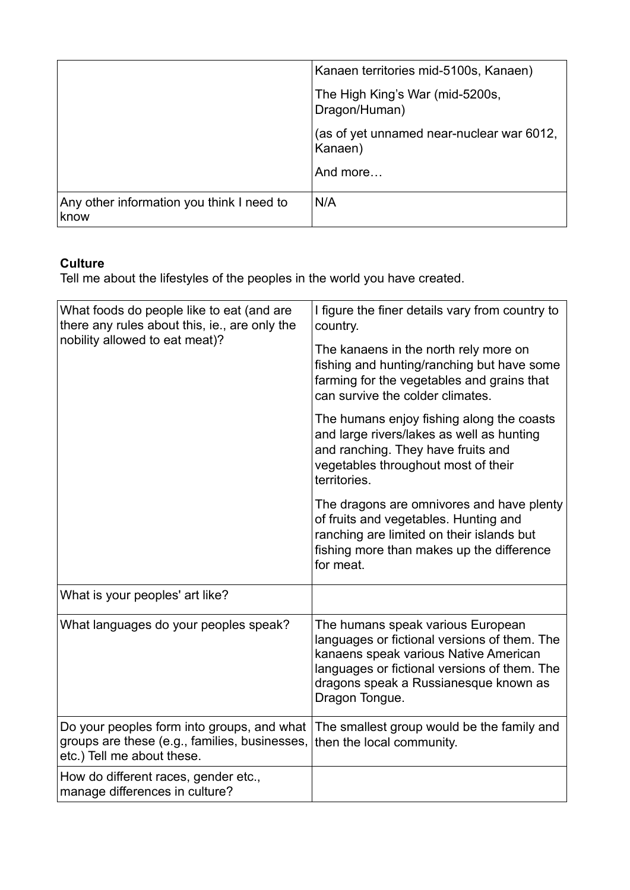|                                                   | Kanaen territories mid-5100s, Kanaen)                |
|---------------------------------------------------|------------------------------------------------------|
|                                                   | The High King's War (mid-5200s,<br>Dragon/Human)     |
|                                                   | (as of yet unnamed near-nuclear war 6012,<br>Kanaen) |
|                                                   | And more                                             |
| Any other information you think I need to<br>know | N/A                                                  |

## **Culture**

Tell me about the lifestyles of the peoples in the world you have created.

| What foods do people like to eat (and are<br>there any rules about this, ie., are only the<br>nobility allowed to eat meat)? | I figure the finer details vary from country to<br>country.                                                                                                                                                                           |
|------------------------------------------------------------------------------------------------------------------------------|---------------------------------------------------------------------------------------------------------------------------------------------------------------------------------------------------------------------------------------|
|                                                                                                                              | The kanaens in the north rely more on<br>fishing and hunting/ranching but have some<br>farming for the vegetables and grains that<br>can survive the colder climates.                                                                 |
|                                                                                                                              | The humans enjoy fishing along the coasts<br>and large rivers/lakes as well as hunting<br>and ranching. They have fruits and<br>vegetables throughout most of their<br>territories.                                                   |
|                                                                                                                              | The dragons are omnivores and have plenty<br>of fruits and vegetables. Hunting and<br>ranching are limited on their islands but<br>fishing more than makes up the difference<br>for meat.                                             |
| What is your peoples' art like?                                                                                              |                                                                                                                                                                                                                                       |
| What languages do your peoples speak?                                                                                        | The humans speak various European<br>languages or fictional versions of them. The<br>kanaens speak various Native American<br>languages or fictional versions of them. The<br>dragons speak a Russianesque known as<br>Dragon Tongue. |
| Do your peoples form into groups, and what<br>groups are these (e.g., families, businesses,<br>etc.) Tell me about these.    | The smallest group would be the family and<br>then the local community.                                                                                                                                                               |
| How do different races, gender etc.,<br>manage differences in culture?                                                       |                                                                                                                                                                                                                                       |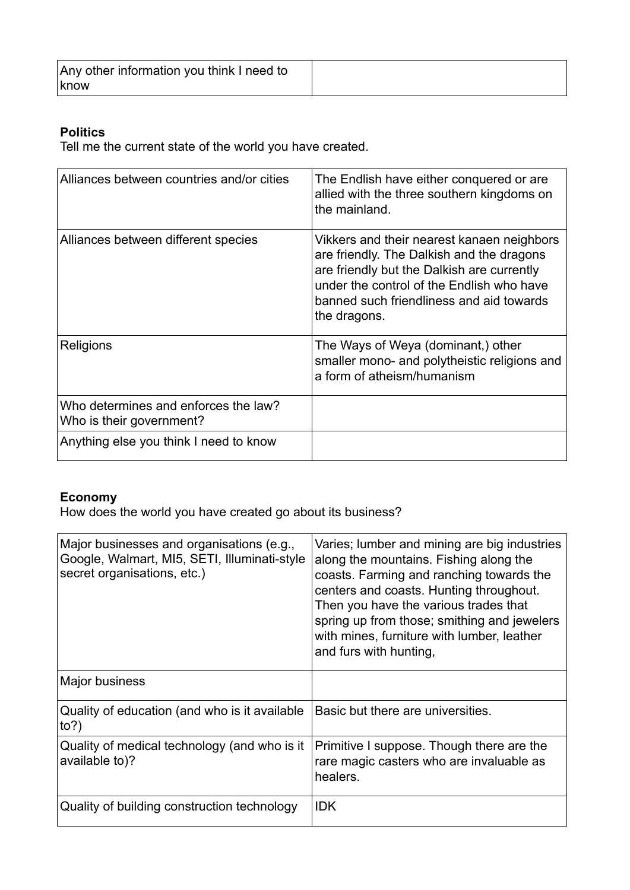| Any other information you think I need to<br>  know |  |
|-----------------------------------------------------|--|
|                                                     |  |

### **Politics**

Tell me the current state of the world you have created.

| Alliances between countries and/or cities                        | The Endlish have either conquered or are<br>allied with the three southern kingdoms on<br>the mainland.                                                                                                                                        |
|------------------------------------------------------------------|------------------------------------------------------------------------------------------------------------------------------------------------------------------------------------------------------------------------------------------------|
| Alliances between different species                              | Vikkers and their nearest kanaen neighbors<br>are friendly. The Dalkish and the dragons<br>are friendly but the Dalkish are currently<br>under the control of the Endlish who have<br>banned such friendliness and aid towards<br>the dragons. |
| Religions                                                        | The Ways of Weya (dominant,) other<br>smaller mono- and polytheistic religions and<br>a form of atheism/humanism                                                                                                                               |
| Who determines and enforces the law?<br>Who is their government? |                                                                                                                                                                                                                                                |
| Anything else you think I need to know                           |                                                                                                                                                                                                                                                |

### **Economy**

How does the world you have created go about its business?

| Major businesses and organisations (e.g.,<br>Google, Walmart, MI5, SETI, Illuminati-style<br>secret organisations, etc.) | Varies; lumber and mining are big industries<br>along the mountains. Fishing along the<br>coasts. Farming and ranching towards the<br>centers and coasts. Hunting throughout.<br>Then you have the various trades that<br>spring up from those; smithing and jewelers<br>with mines, furniture with lumber, leather<br>and furs with hunting, |
|--------------------------------------------------------------------------------------------------------------------------|-----------------------------------------------------------------------------------------------------------------------------------------------------------------------------------------------------------------------------------------------------------------------------------------------------------------------------------------------|
| Major business                                                                                                           |                                                                                                                                                                                                                                                                                                                                               |
| Quality of education (and who is it available<br>to?                                                                     | Basic but there are universities.                                                                                                                                                                                                                                                                                                             |
| Quality of medical technology (and who is it<br>available to)?                                                           | Primitive I suppose. Though there are the<br>rare magic casters who are invaluable as<br>healers.                                                                                                                                                                                                                                             |
| Quality of building construction technology                                                                              | <b>IDK</b>                                                                                                                                                                                                                                                                                                                                    |